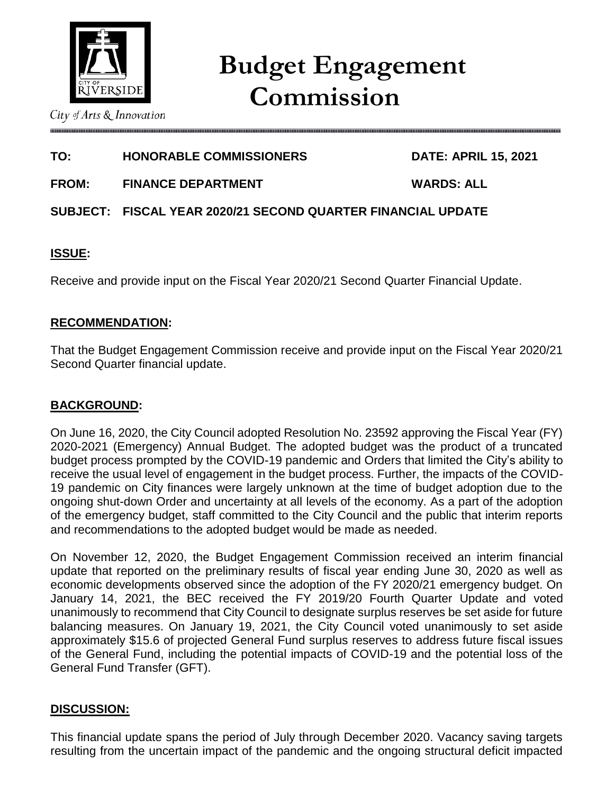

# **TO: HONORABLE COMMISSIONERS DATE: APRIL 15, 2021**

**FROM: FINANCE DEPARTMENT WARDS: ALL**

# **SUBJECT: FISCAL YEAR 2020/21 SECOND QUARTER FINANCIAL UPDATE**

# **ISSUE:**

Receive and provide input on the Fiscal Year 2020/21 Second Quarter Financial Update.

# **RECOMMENDATION:**

That the Budget Engagement Commission receive and provide input on the Fiscal Year 2020/21 Second Quarter financial update.

# **BACKGROUND:**

On June 16, 2020, the City Council adopted Resolution No. 23592 approving the Fiscal Year (FY) 2020-2021 (Emergency) Annual Budget. The adopted budget was the product of a truncated budget process prompted by the COVID-19 pandemic and Orders that limited the City's ability to receive the usual level of engagement in the budget process. Further, the impacts of the COVID-19 pandemic on City finances were largely unknown at the time of budget adoption due to the ongoing shut-down Order and uncertainty at all levels of the economy. As a part of the adoption of the emergency budget, staff committed to the City Council and the public that interim reports and recommendations to the adopted budget would be made as needed.

On November 12, 2020, the Budget Engagement Commission received an interim financial update that reported on the preliminary results of fiscal year ending June 30, 2020 as well as economic developments observed since the adoption of the FY 2020/21 emergency budget. On January 14, 2021, the BEC received the FY 2019/20 Fourth Quarter Update and voted unanimously to recommend that City Council to designate surplus reserves be set aside for future balancing measures. On January 19, 2021, the City Council voted unanimously to set aside approximately \$15.6 of projected General Fund surplus reserves to address future fiscal issues of the General Fund, including the potential impacts of COVID-19 and the potential loss of the General Fund Transfer (GFT).

# **DISCUSSION:**

This financial update spans the period of July through December 2020. Vacancy saving targets resulting from the uncertain impact of the pandemic and the ongoing structural deficit impacted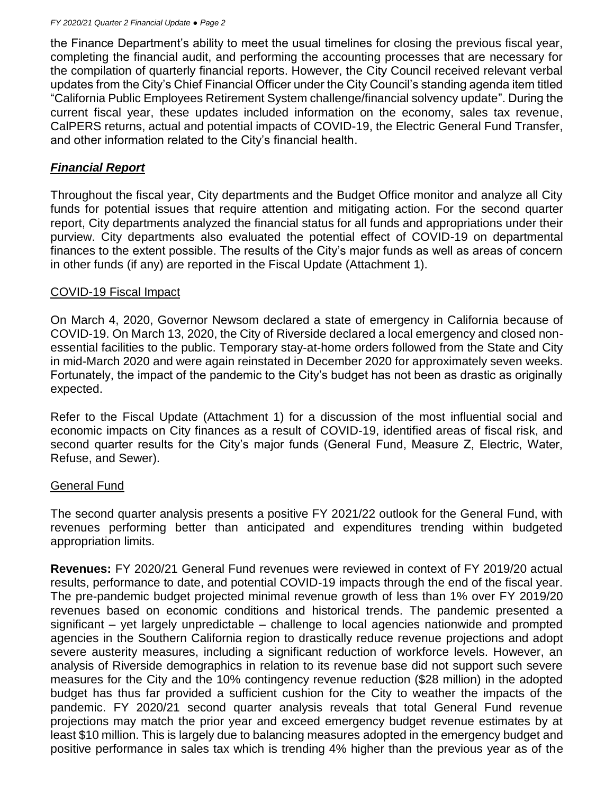the Finance Department's ability to meet the usual timelines for closing the previous fiscal year, completing the financial audit, and performing the accounting processes that are necessary for the compilation of quarterly financial reports. However, the City Council received relevant verbal updates from the City's Chief Financial Officer under the City Council's standing agenda item titled "California Public Employees Retirement System challenge/financial solvency update". During the current fiscal year, these updates included information on the economy, sales tax revenue, CalPERS returns, actual and potential impacts of COVID-19, the Electric General Fund Transfer, and other information related to the City's financial health.

# *Financial Report*

Throughout the fiscal year, City departments and the Budget Office monitor and analyze all City funds for potential issues that require attention and mitigating action. For the second quarter report, City departments analyzed the financial status for all funds and appropriations under their purview. City departments also evaluated the potential effect of COVID-19 on departmental finances to the extent possible. The results of the City's major funds as well as areas of concern in other funds (if any) are reported in the Fiscal Update (Attachment 1).

# COVID-19 Fiscal Impact

On March 4, 2020, Governor Newsom declared a state of emergency in California because of COVID-19. On March 13, 2020, the City of Riverside declared a local emergency and closed nonessential facilities to the public. Temporary stay-at-home orders followed from the State and City in mid-March 2020 and were again reinstated in December 2020 for approximately seven weeks. Fortunately, the impact of the pandemic to the City's budget has not been as drastic as originally expected.

Refer to the Fiscal Update (Attachment 1) for a discussion of the most influential social and economic impacts on City finances as a result of COVID-19, identified areas of fiscal risk, and second quarter results for the City's major funds (General Fund, Measure Z, Electric, Water, Refuse, and Sewer).

# General Fund

The second quarter analysis presents a positive FY 2021/22 outlook for the General Fund, with revenues performing better than anticipated and expenditures trending within budgeted appropriation limits.

**Revenues:** FY 2020/21 General Fund revenues were reviewed in context of FY 2019/20 actual results, performance to date, and potential COVID-19 impacts through the end of the fiscal year. The pre-pandemic budget projected minimal revenue growth of less than 1% over FY 2019/20 revenues based on economic conditions and historical trends. The pandemic presented a significant – yet largely unpredictable – challenge to local agencies nationwide and prompted agencies in the Southern California region to drastically reduce revenue projections and adopt severe austerity measures, including a significant reduction of workforce levels. However, an analysis of Riverside demographics in relation to its revenue base did not support such severe measures for the City and the 10% contingency revenue reduction (\$28 million) in the adopted budget has thus far provided a sufficient cushion for the City to weather the impacts of the pandemic. FY 2020/21 second quarter analysis reveals that total General Fund revenue projections may match the prior year and exceed emergency budget revenue estimates by at least \$10 million. This is largely due to balancing measures adopted in the emergency budget and positive performance in sales tax which is trending 4% higher than the previous year as of the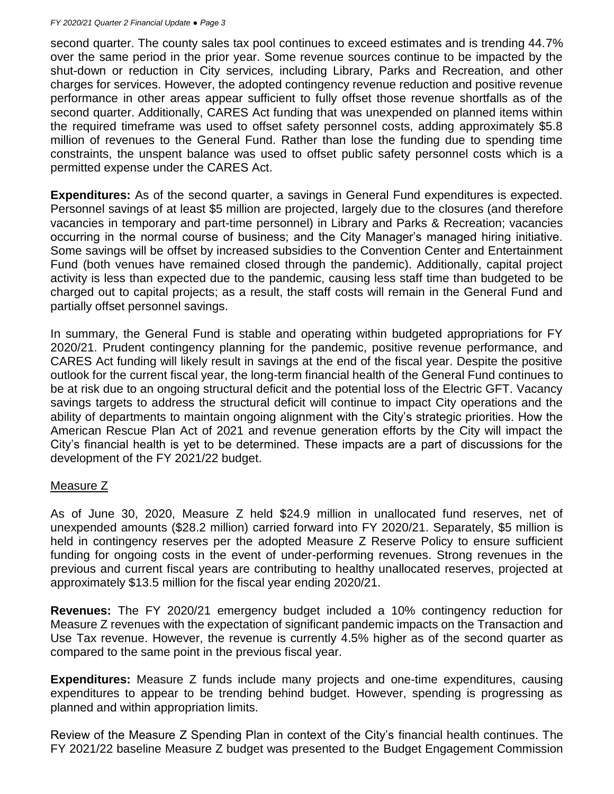second quarter. The county sales tax pool continues to exceed estimates and is trending 44.7% over the same period in the prior year. Some revenue sources continue to be impacted by the shut-down or reduction in City services, including Library, Parks and Recreation, and other charges for services. However, the adopted contingency revenue reduction and positive revenue performance in other areas appear sufficient to fully offset those revenue shortfalls as of the second quarter. Additionally, CARES Act funding that was unexpended on planned items within the required timeframe was used to offset safety personnel costs, adding approximately \$5.8 million of revenues to the General Fund. Rather than lose the funding due to spending time constraints, the unspent balance was used to offset public safety personnel costs which is a permitted expense under the CARES Act.

**Expenditures:** As of the second quarter, a savings in General Fund expenditures is expected. Personnel savings of at least \$5 million are projected, largely due to the closures (and therefore vacancies in temporary and part-time personnel) in Library and Parks & Recreation; vacancies occurring in the normal course of business; and the City Manager's managed hiring initiative. Some savings will be offset by increased subsidies to the Convention Center and Entertainment Fund (both venues have remained closed through the pandemic). Additionally, capital project activity is less than expected due to the pandemic, causing less staff time than budgeted to be charged out to capital projects; as a result, the staff costs will remain in the General Fund and partially offset personnel savings.

In summary, the General Fund is stable and operating within budgeted appropriations for FY 2020/21. Prudent contingency planning for the pandemic, positive revenue performance, and CARES Act funding will likely result in savings at the end of the fiscal year. Despite the positive outlook for the current fiscal year, the long-term financial health of the General Fund continues to be at risk due to an ongoing structural deficit and the potential loss of the Electric GFT. Vacancy savings targets to address the structural deficit will continue to impact City operations and the ability of departments to maintain ongoing alignment with the City's strategic priorities. How the American Rescue Plan Act of 2021 and revenue generation efforts by the City will impact the City's financial health is yet to be determined. These impacts are a part of discussions for the development of the FY 2021/22 budget.

#### Measure Z

As of June 30, 2020, Measure Z held \$24.9 million in unallocated fund reserves, net of unexpended amounts (\$28.2 million) carried forward into FY 2020/21. Separately, \$5 million is held in contingency reserves per the adopted Measure Z Reserve Policy to ensure sufficient funding for ongoing costs in the event of under-performing revenues. Strong revenues in the previous and current fiscal years are contributing to healthy unallocated reserves, projected at approximately \$13.5 million for the fiscal year ending 2020/21.

**Revenues:** The FY 2020/21 emergency budget included a 10% contingency reduction for Measure Z revenues with the expectation of significant pandemic impacts on the Transaction and Use Tax revenue. However, the revenue is currently 4.5% higher as of the second quarter as compared to the same point in the previous fiscal year.

**Expenditures:** Measure Z funds include many projects and one-time expenditures, causing expenditures to appear to be trending behind budget. However, spending is progressing as planned and within appropriation limits.

Review of the Measure Z Spending Plan in context of the City's financial health continues. The FY 2021/22 baseline Measure Z budget was presented to the Budget Engagement Commission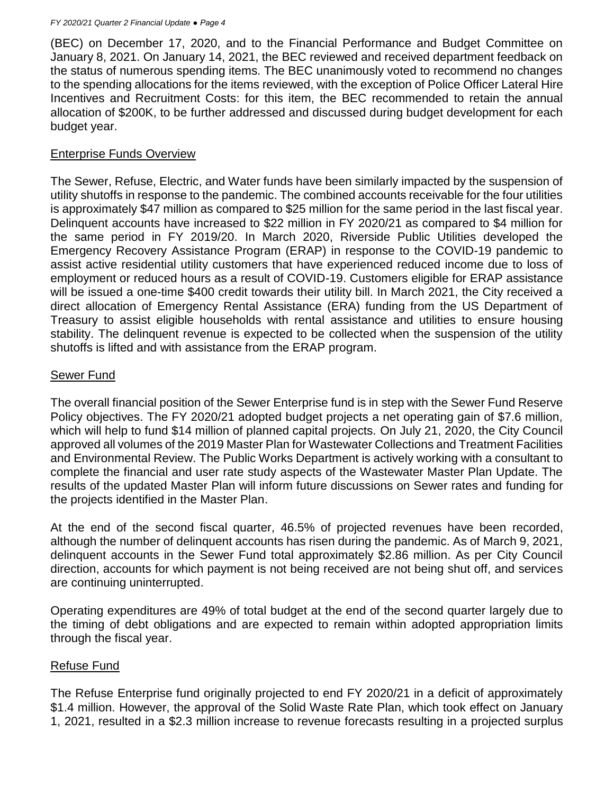(BEC) on December 17, 2020, and to the Financial Performance and Budget Committee on January 8, 2021. On January 14, 2021, the BEC reviewed and received department feedback on the status of numerous spending items. The BEC unanimously voted to recommend no changes to the spending allocations for the items reviewed, with the exception of Police Officer Lateral Hire Incentives and Recruitment Costs: for this item, the BEC recommended to retain the annual allocation of \$200K, to be further addressed and discussed during budget development for each budget year.

### Enterprise Funds Overview

The Sewer, Refuse, Electric, and Water funds have been similarly impacted by the suspension of utility shutoffs in response to the pandemic. The combined accounts receivable for the four utilities is approximately \$47 million as compared to \$25 million for the same period in the last fiscal year. Delinquent accounts have increased to \$22 million in FY 2020/21 as compared to \$4 million for the same period in FY 2019/20. In March 2020, Riverside Public Utilities developed the Emergency Recovery Assistance Program (ERAP) in response to the COVID-19 pandemic to assist active residential utility customers that have experienced reduced income due to loss of employment or reduced hours as a result of COVID-19. Customers eligible for ERAP assistance will be issued a one-time \$400 credit towards their utility bill. In March 2021, the City received a direct allocation of Emergency Rental Assistance (ERA) funding from the US Department of Treasury to assist eligible households with rental assistance and utilities to ensure housing stability. The delinquent revenue is expected to be collected when the suspension of the utility shutoffs is lifted and with assistance from the ERAP program.

# Sewer Fund

The overall financial position of the Sewer Enterprise fund is in step with the Sewer Fund Reserve Policy objectives. The FY 2020/21 adopted budget projects a net operating gain of \$7.6 million, which will help to fund \$14 million of planned capital projects. On July 21, 2020, the City Council approved all volumes of the 2019 Master Plan for Wastewater Collections and Treatment Facilities and Environmental Review. The Public Works Department is actively working with a consultant to complete the financial and user rate study aspects of the Wastewater Master Plan Update. The results of the updated Master Plan will inform future discussions on Sewer rates and funding for the projects identified in the Master Plan.

At the end of the second fiscal quarter, 46.5% of projected revenues have been recorded, although the number of delinquent accounts has risen during the pandemic. As of March 9, 2021, delinquent accounts in the Sewer Fund total approximately \$2.86 million. As per City Council direction, accounts for which payment is not being received are not being shut off, and services are continuing uninterrupted.

Operating expenditures are 49% of total budget at the end of the second quarter largely due to the timing of debt obligations and are expected to remain within adopted appropriation limits through the fiscal year.

# Refuse Fund

The Refuse Enterprise fund originally projected to end FY 2020/21 in a deficit of approximately \$1.4 million. However, the approval of the Solid Waste Rate Plan, which took effect on January 1, 2021, resulted in a \$2.3 million increase to revenue forecasts resulting in a projected surplus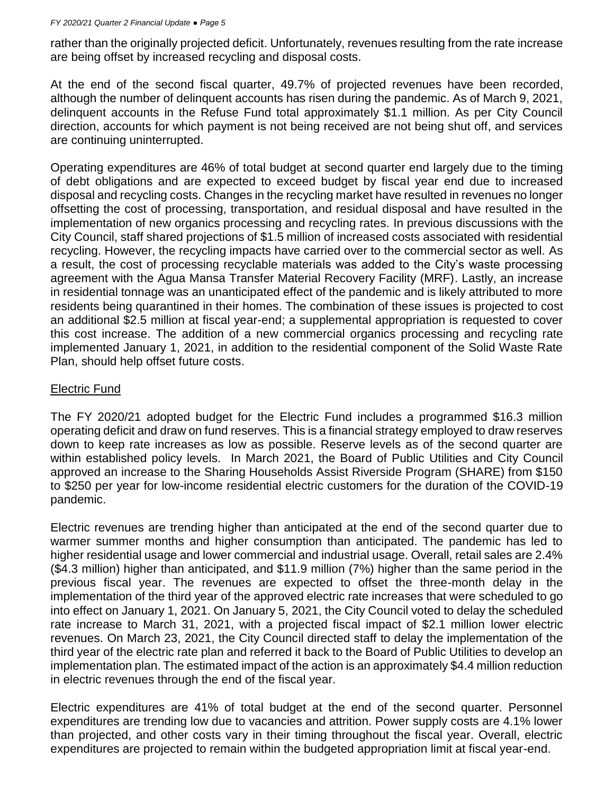#### *FY 2020/21 Quarter 2 Financial Update ● Page 5*

rather than the originally projected deficit. Unfortunately, revenues resulting from the rate increase are being offset by increased recycling and disposal costs.

At the end of the second fiscal quarter, 49.7% of projected revenues have been recorded, although the number of delinquent accounts has risen during the pandemic. As of March 9, 2021, delinquent accounts in the Refuse Fund total approximately \$1.1 million. As per City Council direction, accounts for which payment is not being received are not being shut off, and services are continuing uninterrupted.

Operating expenditures are 46% of total budget at second quarter end largely due to the timing of debt obligations and are expected to exceed budget by fiscal year end due to increased disposal and recycling costs. Changes in the recycling market have resulted in revenues no longer offsetting the cost of processing, transportation, and residual disposal and have resulted in the implementation of new organics processing and recycling rates. In previous discussions with the City Council, staff shared projections of \$1.5 million of increased costs associated with residential recycling. However, the recycling impacts have carried over to the commercial sector as well. As a result, the cost of processing recyclable materials was added to the City's waste processing agreement with the Agua Mansa Transfer Material Recovery Facility (MRF). Lastly, an increase in residential tonnage was an unanticipated effect of the pandemic and is likely attributed to more residents being quarantined in their homes. The combination of these issues is projected to cost an additional \$2.5 million at fiscal year-end; a supplemental appropriation is requested to cover this cost increase. The addition of a new commercial organics processing and recycling rate implemented January 1, 2021, in addition to the residential component of the Solid Waste Rate Plan, should help offset future costs.

#### Electric Fund

The FY 2020/21 adopted budget for the Electric Fund includes a programmed \$16.3 million operating deficit and draw on fund reserves. This is a financial strategy employed to draw reserves down to keep rate increases as low as possible. Reserve levels as of the second quarter are within established policy levels. In March 2021, the Board of Public Utilities and City Council approved an increase to the Sharing Households Assist Riverside Program (SHARE) from \$150 to \$250 per year for low-income residential electric customers for the duration of the COVID-19 pandemic.

Electric revenues are trending higher than anticipated at the end of the second quarter due to warmer summer months and higher consumption than anticipated. The pandemic has led to higher residential usage and lower commercial and industrial usage. Overall, retail sales are 2.4% (\$4.3 million) higher than anticipated, and \$11.9 million (7%) higher than the same period in the previous fiscal year. The revenues are expected to offset the three-month delay in the implementation of the third year of the approved electric rate increases that were scheduled to go into effect on January 1, 2021. On January 5, 2021, the City Council voted to delay the scheduled rate increase to March 31, 2021, with a projected fiscal impact of \$2.1 million lower electric revenues. On March 23, 2021, the City Council directed staff to delay the implementation of the third year of the electric rate plan and referred it back to the Board of Public Utilities to develop an implementation plan. The estimated impact of the action is an approximately \$4.4 million reduction in electric revenues through the end of the fiscal year.

Electric expenditures are 41% of total budget at the end of the second quarter. Personnel expenditures are trending low due to vacancies and attrition. Power supply costs are 4.1% lower than projected, and other costs vary in their timing throughout the fiscal year. Overall, electric expenditures are projected to remain within the budgeted appropriation limit at fiscal year-end.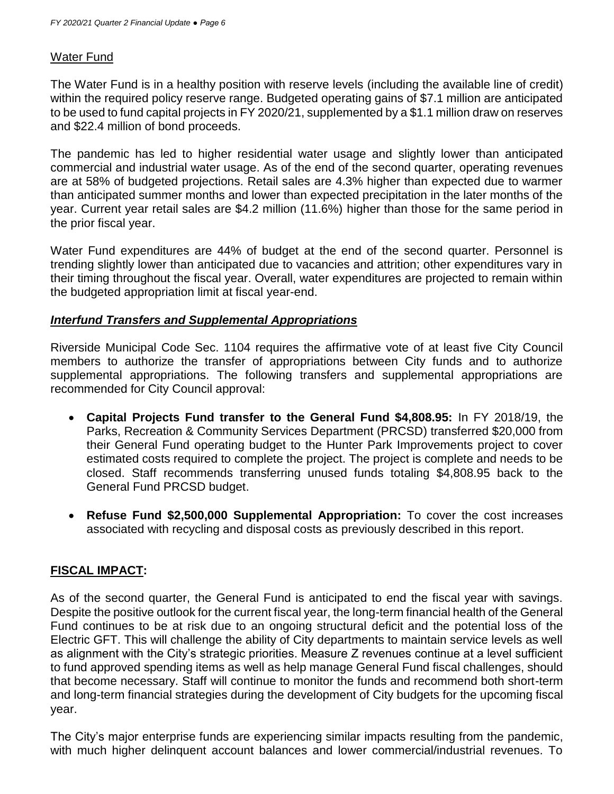### Water Fund

The Water Fund is in a healthy position with reserve levels (including the available line of credit) within the required policy reserve range. Budgeted operating gains of \$7.1 million are anticipated to be used to fund capital projects in FY 2020/21, supplemented by a \$1.1 million draw on reserves and \$22.4 million of bond proceeds.

The pandemic has led to higher residential water usage and slightly lower than anticipated commercial and industrial water usage. As of the end of the second quarter, operating revenues are at 58% of budgeted projections. Retail sales are 4.3% higher than expected due to warmer than anticipated summer months and lower than expected precipitation in the later months of the year. Current year retail sales are \$4.2 million (11.6%) higher than those for the same period in the prior fiscal year.

Water Fund expenditures are 44% of budget at the end of the second quarter. Personnel is trending slightly lower than anticipated due to vacancies and attrition; other expenditures vary in their timing throughout the fiscal year. Overall, water expenditures are projected to remain within the budgeted appropriation limit at fiscal year-end.

#### *Interfund Transfers and Supplemental Appropriations*

Riverside Municipal Code Sec. 1104 requires the affirmative vote of at least five City Council members to authorize the transfer of appropriations between City funds and to authorize supplemental appropriations. The following transfers and supplemental appropriations are recommended for City Council approval:

- **Capital Projects Fund transfer to the General Fund \$4,808.95:** In FY 2018/19, the Parks, Recreation & Community Services Department (PRCSD) transferred \$20,000 from their General Fund operating budget to the Hunter Park Improvements project to cover estimated costs required to complete the project. The project is complete and needs to be closed. Staff recommends transferring unused funds totaling \$4,808.95 back to the General Fund PRCSD budget.
- **Refuse Fund \$2,500,000 Supplemental Appropriation:** To cover the cost increases associated with recycling and disposal costs as previously described in this report.

# **FISCAL IMPACT:**

As of the second quarter, the General Fund is anticipated to end the fiscal year with savings. Despite the positive outlook for the current fiscal year, the long-term financial health of the General Fund continues to be at risk due to an ongoing structural deficit and the potential loss of the Electric GFT. This will challenge the ability of City departments to maintain service levels as well as alignment with the City's strategic priorities. Measure Z revenues continue at a level sufficient to fund approved spending items as well as help manage General Fund fiscal challenges, should that become necessary. Staff will continue to monitor the funds and recommend both short-term and long-term financial strategies during the development of City budgets for the upcoming fiscal year.

The City's major enterprise funds are experiencing similar impacts resulting from the pandemic, with much higher delinquent account balances and lower commercial/industrial revenues. To